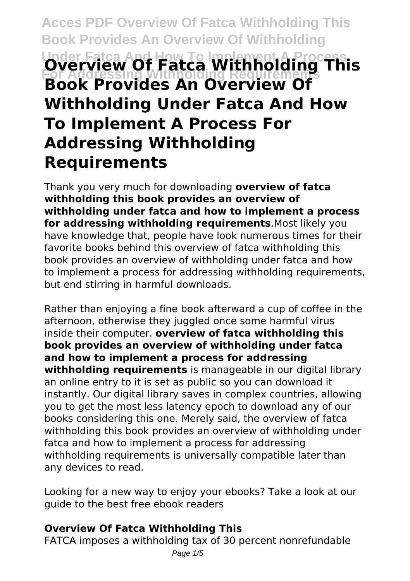# **Acces PDF Overview Of Fatca Withholding This Book Provides An Overview Of Withholding Under Fatca And How To Implement A Process For Addressing Withholding Requirements Overview Of Fatca Withholding This Book Provides An Overview Of Withholding Under Fatca And How To Implement A Process For Addressing Withholding Requirements**

Thank you very much for downloading **overview of fatca withholding this book provides an overview of withholding under fatca and how to implement a process for addressing withholding requirements**.Most likely you have knowledge that, people have look numerous times for their favorite books behind this overview of fatca withholding this book provides an overview of withholding under fatca and how to implement a process for addressing withholding requirements, but end stirring in harmful downloads.

Rather than enjoying a fine book afterward a cup of coffee in the afternoon, otherwise they juggled once some harmful virus inside their computer. **overview of fatca withholding this book provides an overview of withholding under fatca and how to implement a process for addressing withholding requirements** is manageable in our digital library an online entry to it is set as public so you can download it instantly. Our digital library saves in complex countries, allowing you to get the most less latency epoch to download any of our books considering this one. Merely said, the overview of fatca withholding this book provides an overview of withholding under fatca and how to implement a process for addressing withholding requirements is universally compatible later than any devices to read.

Looking for a new way to enjoy your ebooks? Take a look at our guide to the best free ebook readers

### **Overview Of Fatca Withholding This**

FATCA imposes a withholding tax of 30 percent nonrefundable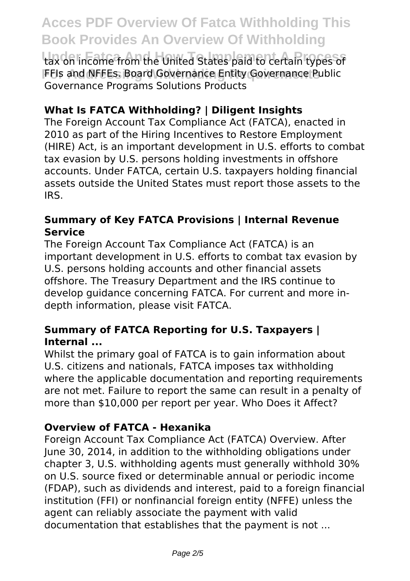tax on income from the United States paid to certain types of FFIs and NFFEs. Board Governance Entity Governance Public Governance Programs Solutions Products

## **What Is FATCA Withholding? | Diligent Insights**

The Foreign Account Tax Compliance Act (FATCA), enacted in 2010 as part of the Hiring Incentives to Restore Employment (HIRE) Act, is an important development in U.S. efforts to combat tax evasion by U.S. persons holding investments in offshore accounts. Under FATCA, certain U.S. taxpayers holding financial assets outside the United States must report those assets to the IRS.

#### **Summary of Key FATCA Provisions | Internal Revenue Service**

The Foreign Account Tax Compliance Act (FATCA) is an important development in U.S. efforts to combat tax evasion by U.S. persons holding accounts and other financial assets offshore. The Treasury Department and the IRS continue to develop guidance concerning FATCA. For current and more indepth information, please visit FATCA.

### **Summary of FATCA Reporting for U.S. Taxpayers | Internal ...**

Whilst the primary goal of FATCA is to gain information about U.S. citizens and nationals, FATCA imposes tax withholding where the applicable documentation and reporting requirements are not met. Failure to report the same can result in a penalty of more than \$10,000 per report per year. Who Does it Affect?

### **Overview of FATCA - Hexanika**

Foreign Account Tax Compliance Act (FATCA) Overview. After June 30, 2014, in addition to the withholding obligations under chapter 3, U.S. withholding agents must generally withhold 30% on U.S. source fixed or determinable annual or periodic income (FDAP), such as dividends and interest, paid to a foreign financial institution (FFI) or nonfinancial foreign entity (NFFE) unless the agent can reliably associate the payment with valid documentation that establishes that the payment is not ...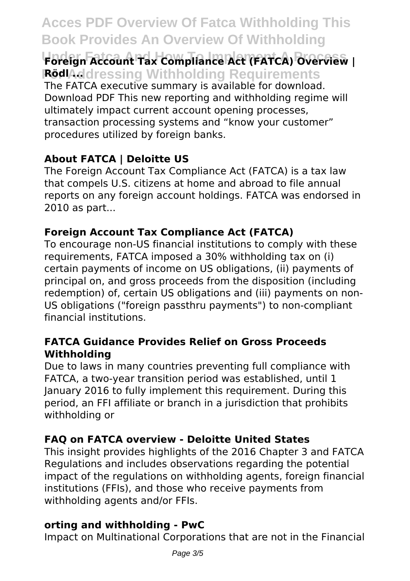# **Under Fatca And How To Implement A Process Foreign Account Tax Compliance Act (FATCA) Overview | RödlAddressing Withholding Requirements**

The FATCA executive summary is available for download. Download PDF This new reporting and withholding regime will ultimately impact current account opening processes, transaction processing systems and "know your customer" procedures utilized by foreign banks.

# **About FATCA | Deloitte US**

The Foreign Account Tax Compliance Act (FATCA) is a tax law that compels U.S. citizens at home and abroad to file annual reports on any foreign account holdings. FATCA was endorsed in 2010 as part...

# **Foreign Account Tax Compliance Act (FATCA)**

To encourage non-US financial institutions to comply with these requirements, FATCA imposed a 30% withholding tax on (i) certain payments of income on US obligations, (ii) payments of principal on, and gross proceeds from the disposition (including redemption) of, certain US obligations and (iii) payments on non-US obligations ("foreign passthru payments") to non-compliant financial institutions.

### **FATCA Guidance Provides Relief on Gross Proceeds Withholding**

Due to laws in many countries preventing full compliance with FATCA, a two-year transition period was established, until 1 January 2016 to fully implement this requirement. During this period, an FFI affiliate or branch in a jurisdiction that prohibits withholding or

# **FAQ on FATCA overview - Deloitte United States**

This insight provides highlights of the 2016 Chapter 3 and FATCA Regulations and includes observations regarding the potential impact of the regulations on withholding agents, foreign financial institutions (FFIs), and those who receive payments from withholding agents and/or FFIs.

### **orting and withholding - PwC**

Impact on Multinational Corporations that are not in the Financial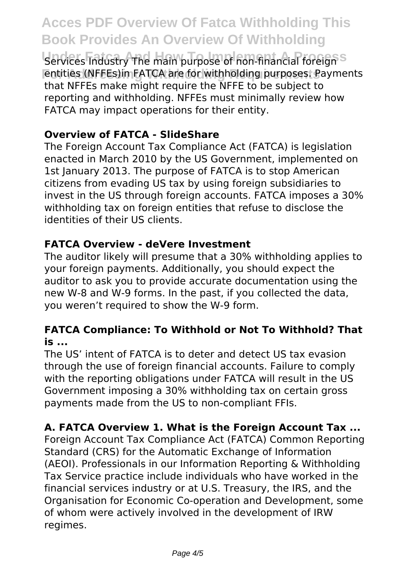Services Industry The main purpose of non-financial foreign<sup>SS</sup> **Entities (NFFEs)in FATCA are for withholding purposes. Payments** that NFFEs make might require the NFFE to be subject to reporting and withholding. NFFEs must minimally review how FATCA may impact operations for their entity.

### **Overview of FATCA - SlideShare**

The Foreign Account Tax Compliance Act (FATCA) is legislation enacted in March 2010 by the US Government, implemented on 1st January 2013. The purpose of FATCA is to stop American citizens from evading US tax by using foreign subsidiaries to invest in the US through foreign accounts. FATCA imposes a 30% withholding tax on foreign entities that refuse to disclose the identities of their US clients.

### **FATCA Overview - deVere Investment**

The auditor likely will presume that a 30% withholding applies to your foreign payments. Additionally, you should expect the auditor to ask you to provide accurate documentation using the new W-8 and W-9 forms. In the past, if you collected the data, you weren't required to show the W-9 form.

### **FATCA Compliance: To Withhold or Not To Withhold? That is ...**

The US' intent of FATCA is to deter and detect US tax evasion through the use of foreign financial accounts. Failure to comply with the reporting obligations under FATCA will result in the US Government imposing a 30% withholding tax on certain gross payments made from the US to non-compliant FFIs.

# **A. FATCA Overview 1. What is the Foreign Account Tax ...**

Foreign Account Tax Compliance Act (FATCA) Common Reporting Standard (CRS) for the Automatic Exchange of Information (AEOI). Professionals in our Information Reporting & Withholding Tax Service practice include individuals who have worked in the financial services industry or at U.S. Treasury, the IRS, and the Organisation for Economic Co-operation and Development, some of whom were actively involved in the development of IRW regimes.